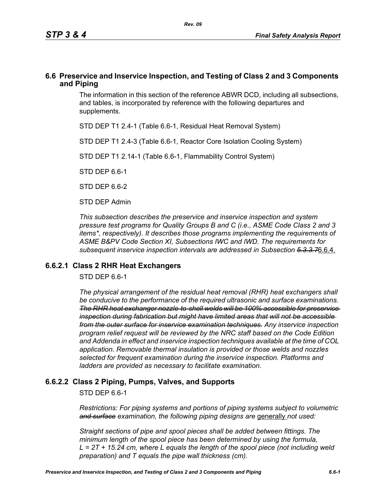## **6.6 Preservice and Inservice Inspection, and Testing of Class 2 and 3 Components and Piping**

The information in this section of the reference ABWR DCD, including all subsections, and tables, is incorporated by reference with the following departures and supplements.

STD DEP T1 2.4-1 (Table 6.6-1, Residual Heat Removal System)

STD DEP T1 2.4-3 (Table 6.6-1, Reactor Core Isolation Cooling System)

STD DEP T1 2.14-1 (Table 6.6-1, Flammability Control System)

STD DEP 6.6-1

STD DFP 6 6-2

STD DEP Admin

*This subsection describes the preservice and inservice inspection and system pressure test programs for Quality Groups B and C (i.e., ASME Code Class 2 and 3 items\*, respectively). It describes those programs implementing the requirements of ASME B&PV Code Section XI, Subsections IWC and IWD. The requirements for subsequent inservice inspection intervals are addressed in Subsection 5.3.3.7*6.6.4.

### **6.6.2.1 Class 2 RHR Heat Exchangers**

STD DEP 6.6-1

*The physical arrangement of the residual heat removal (RHR) heat exchangers shall be conducive to the performance of the required ultrasonic and surface examinations. The RHR heat exchanger nozzle-to-shell welds will be 100% accessible for preservice inspection during fabrication but might have limited areas that will not be accessible from the outer surface for inservice examination techniques. Any inservice inspection program relief request will be reviewed by the NRC staff based on the Code Edition and Addenda in effect and inservice inspection techniques available at the time of COL application. Removable thermal insulation is provided or those welds and nozzles selected for frequent examination during the inservice inspection. Platforms and ladders are provided as necessary to facilitate examination.*

# **6.6.2.2 Class 2 Piping, Pumps, Valves, and Supports**

STD DEP 6.6-1

*Restrictions: For piping systems and portions of piping systems subject to volumetric*  and surface examination, the following piping designs are generally not used:

*Straight sections of pipe and spool pieces shall be added between fittings. The minimum length of the spool piece has been determined by using the formula, L = 2T + 15.24 cm, where L equals the length of the spool piece (not including weld preparation) and T equals the pipe wall thickness (cm).*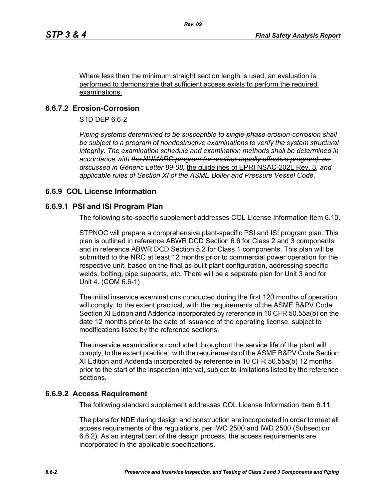Where less than the minimum straight section length is used, an evaluation is performed to demonstrate that sufficient access exists to perform the required examinations.

# **6.6.7.2 Erosion-Corrosion**

STD DEP 6.6-2

*Piping systems determined to be susceptible to single-phase erosion-corrosion shall*  be subject to a program of nondestructive examinations to verify the system structural *integrity. The examination schedule and examination methods shall be determined in accordance with the NUMARC program (or another equally effective program), as discussed in Generic Letter 89-08,* the guidelines of EPRI NSAC-202L Rev. 3*, and applicable rules of Section XI of the ASME Boiler and Pressure Vessel Code.*

# **6.6.9 COL License Information**

### **6.6.9.1 PSI and ISI Program Plan**

The following site-specific supplement addresses COL License Information Item 6.10.

STPNOC will prepare a comprehensive plant-specific PSI and ISI program plan. This plan is outlined in reference ABWR DCD Section 6.6 for Class 2 and 3 components and in reference ABWR DCD Section 5.2 for Class 1 components. This plan will be submitted to the NRC at least 12 months prior to commercial power operation for the respective unit, based on the final as-built plant configuration, addressing specific welds, bolting, pipe supports, etc. There will be a separate plan for Unit 3 and for Unit 4. (COM 6.6-1)

The initial inservice examinations conducted during the first 120 months of operation will comply, to the extent practical, with the requirements of the ASME B&PV Code Section XI Edition and Addenda incorporated by reference in 10 CFR 50.55a(b) on the date 12 months prior to the date of issuance of the operating license, subject to modifications listed by the reference sections.

The inservice examinations conducted throughout the service life of the plant will comply, to the extent practical, with the requirements of the ASME B&PV Code Section XI Edition and Addenda incorporated by reference in 10 CFR 50.55a(b) 12 months prior to the start of the inspection interval, subject to limitations listed by the reference sections.

### **6.6.9.2 Access Requirement**

The following standard supplement addresses COL License Information Item 6.11.

The plans for NDE during design and construction are incorporated in order to meet all access requirements of the regulations, per IWC 2500 and IWD 2500 (Subsection 6.6.2). As an integral part of the design process, the access requirements are incorporated in the applicable specifications.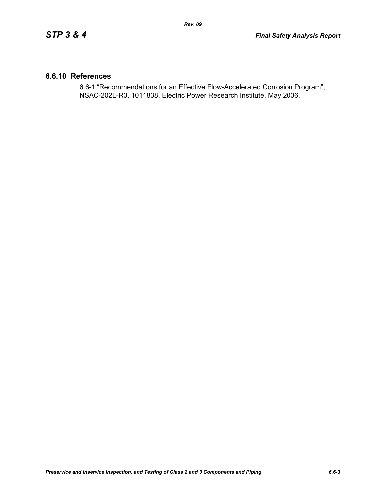## **6.6.10 References**

6.6-1 "Recommendations for an Effective Flow-Accelerated Corrosion Program", NSAC-202L-R3, 1011838, Electric Power Research Institute, May 2006.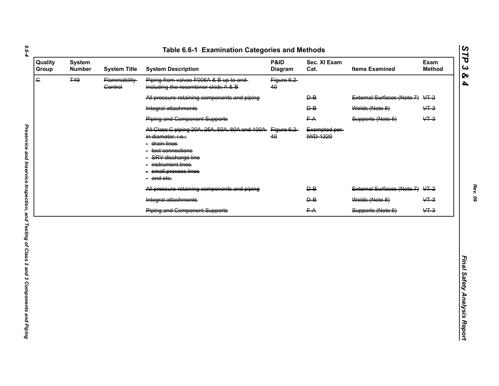| $\overline{\mathbf{G}}$<br><b>T49</b><br>Piping from valves F006A & B up to and<br>Flammability-<br>Figure 6.2<br>including the recombiner skids A & B<br><b>Control</b><br>40<br>External Surfaces (Note 7) VT-2<br>All pressure retaining components and piping<br>$\overline{P}$<br>Welds (Note 8)<br>$&+3$<br>Integral attachments<br>$\overline{P}$<br>$&+3$<br><b>Piping and Component Supports</b><br>FA<br>Supports (Note 6)<br>All Class C piping 20A, 25A, 50A, 80A and 100A-<br>Figure 6.2<br>Exempted per-<br><b>IWD 1220</b><br>40<br>in diameter, i.e.:<br>- <del>drain lines</del><br>- test connections<br>- SRV discharge line<br>- instrument lines<br>- small process lines<br>- and etc.<br>External Surfaces (Note 7) VT-2<br>All pressure retaining components and piping<br>$\overline{P}$<br>Integral attachments<br>Welds (Note 8)<br>$&+3$<br>$\overline{P}$<br>$&+3$<br>FA<br><b>Piping and Component Supports</b><br>Supports (Note 6) |
|--------------------------------------------------------------------------------------------------------------------------------------------------------------------------------------------------------------------------------------------------------------------------------------------------------------------------------------------------------------------------------------------------------------------------------------------------------------------------------------------------------------------------------------------------------------------------------------------------------------------------------------------------------------------------------------------------------------------------------------------------------------------------------------------------------------------------------------------------------------------------------------------------------------------------------------------------------------------|
|                                                                                                                                                                                                                                                                                                                                                                                                                                                                                                                                                                                                                                                                                                                                                                                                                                                                                                                                                                    |
|                                                                                                                                                                                                                                                                                                                                                                                                                                                                                                                                                                                                                                                                                                                                                                                                                                                                                                                                                                    |
|                                                                                                                                                                                                                                                                                                                                                                                                                                                                                                                                                                                                                                                                                                                                                                                                                                                                                                                                                                    |
|                                                                                                                                                                                                                                                                                                                                                                                                                                                                                                                                                                                                                                                                                                                                                                                                                                                                                                                                                                    |
|                                                                                                                                                                                                                                                                                                                                                                                                                                                                                                                                                                                                                                                                                                                                                                                                                                                                                                                                                                    |
|                                                                                                                                                                                                                                                                                                                                                                                                                                                                                                                                                                                                                                                                                                                                                                                                                                                                                                                                                                    |
|                                                                                                                                                                                                                                                                                                                                                                                                                                                                                                                                                                                                                                                                                                                                                                                                                                                                                                                                                                    |
|                                                                                                                                                                                                                                                                                                                                                                                                                                                                                                                                                                                                                                                                                                                                                                                                                                                                                                                                                                    |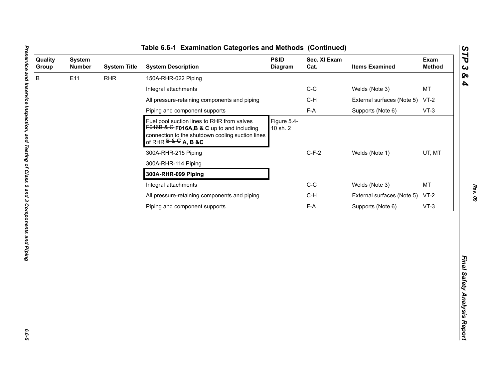| B<br>E11<br><b>RHR</b><br>150A-RHR-022 Piping<br>$C-C$<br>Welds (Note 3)<br>Integral attachments<br>All pressure-retaining components and piping<br>$C-H$<br>External surfaces (Note 5)<br>$F-A$<br>Piping and component supports<br>Supports (Note 6)<br>Figure 5.4-<br>Fuel pool suction lines to RHR from valves<br>$F016B$ & G F016A, B & C up to and including<br>10 sh. 2<br>connection to the shutdown cooling suction lines<br>of RHR $B & G$ A, B &C<br>$C-F-2$<br>Welds (Note 1)<br>300A-RHR-215 Piping<br>300A-RHR-114 Piping<br>300A-RHR-099 Piping<br>$C-C$<br>Integral attachments<br>Welds (Note 3) | MT<br>$VT-2$<br>$VT-3$<br>UT, MT<br><b>MT</b><br>$C-H$<br>External surfaces (Note 5)<br>$VT-2$<br>$F-A$<br>Supports (Note 6)<br>$VT-3$ | Quality<br>Group | <b>System</b><br><b>Number</b> | <b>System Title</b> | <b>System Description</b>                    | P&ID<br>Diagram | Sec. XI Exam<br>Cat. | <b>Items Examined</b> | Exam<br><b>Method</b> |
|--------------------------------------------------------------------------------------------------------------------------------------------------------------------------------------------------------------------------------------------------------------------------------------------------------------------------------------------------------------------------------------------------------------------------------------------------------------------------------------------------------------------------------------------------------------------------------------------------------------------|----------------------------------------------------------------------------------------------------------------------------------------|------------------|--------------------------------|---------------------|----------------------------------------------|-----------------|----------------------|-----------------------|-----------------------|
|                                                                                                                                                                                                                                                                                                                                                                                                                                                                                                                                                                                                                    |                                                                                                                                        |                  |                                |                     |                                              |                 |                      |                       |                       |
|                                                                                                                                                                                                                                                                                                                                                                                                                                                                                                                                                                                                                    |                                                                                                                                        |                  |                                |                     |                                              |                 |                      |                       |                       |
|                                                                                                                                                                                                                                                                                                                                                                                                                                                                                                                                                                                                                    |                                                                                                                                        |                  |                                |                     |                                              |                 |                      |                       |                       |
|                                                                                                                                                                                                                                                                                                                                                                                                                                                                                                                                                                                                                    |                                                                                                                                        |                  |                                |                     |                                              |                 |                      |                       |                       |
|                                                                                                                                                                                                                                                                                                                                                                                                                                                                                                                                                                                                                    |                                                                                                                                        |                  |                                |                     |                                              |                 |                      |                       |                       |
|                                                                                                                                                                                                                                                                                                                                                                                                                                                                                                                                                                                                                    |                                                                                                                                        |                  |                                |                     |                                              |                 |                      |                       |                       |
|                                                                                                                                                                                                                                                                                                                                                                                                                                                                                                                                                                                                                    |                                                                                                                                        |                  |                                |                     |                                              |                 |                      |                       |                       |
|                                                                                                                                                                                                                                                                                                                                                                                                                                                                                                                                                                                                                    |                                                                                                                                        |                  |                                |                     |                                              |                 |                      |                       |                       |
|                                                                                                                                                                                                                                                                                                                                                                                                                                                                                                                                                                                                                    |                                                                                                                                        |                  |                                |                     |                                              |                 |                      |                       |                       |
|                                                                                                                                                                                                                                                                                                                                                                                                                                                                                                                                                                                                                    |                                                                                                                                        |                  |                                |                     | All pressure-retaining components and piping |                 |                      |                       |                       |
| Piping and component supports                                                                                                                                                                                                                                                                                                                                                                                                                                                                                                                                                                                      |                                                                                                                                        |                  |                                |                     |                                              |                 |                      |                       |                       |

L

*Rev. 09*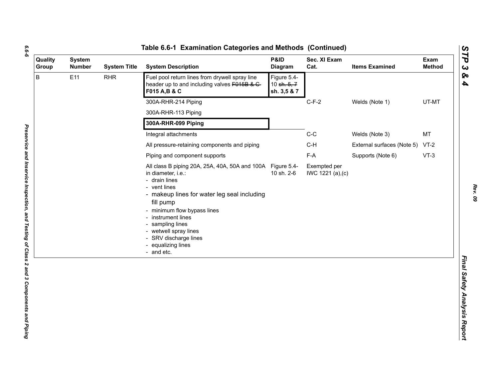| ۰,<br>۰. |
|----------|
|          |
| ۰.       |
|          |

| Quality<br>Group | <b>System</b><br><b>Number</b> | <b>System Title</b> | <b>System Description</b>                                                                                                                                                                                                                                                                                                                    | P&ID<br>Diagram                           | Sec. XI Exam<br>Cat.              | <b>Items Examined</b>           | Exam<br><b>Method</b> |
|------------------|--------------------------------|---------------------|----------------------------------------------------------------------------------------------------------------------------------------------------------------------------------------------------------------------------------------------------------------------------------------------------------------------------------------------|-------------------------------------------|-----------------------------------|---------------------------------|-----------------------|
| B<br>E11         |                                | <b>RHR</b>          | Fuel pool return lines from drywell spray line<br>header up to and including valves F015B & C-<br>F015 A, B & C                                                                                                                                                                                                                              | Figure 5.4-<br>10 sh. 5, 7<br>sh. 3,5 & 7 |                                   |                                 |                       |
|                  |                                |                     | 300A-RHR-214 Piping                                                                                                                                                                                                                                                                                                                          |                                           | $C-F-2$                           | Welds (Note 1)                  | UT-MT                 |
|                  |                                |                     | 300A-RHR-113 Piping                                                                                                                                                                                                                                                                                                                          |                                           |                                   |                                 |                       |
|                  |                                |                     | 300A-RHR-099 Piping                                                                                                                                                                                                                                                                                                                          |                                           |                                   |                                 |                       |
|                  |                                |                     | Integral attachments                                                                                                                                                                                                                                                                                                                         |                                           | $C-C$                             | Welds (Note 3)                  | MT                    |
|                  |                                |                     | All pressure-retaining components and piping                                                                                                                                                                                                                                                                                                 |                                           | $C-H$                             | External surfaces (Note 5) VT-2 |                       |
|                  |                                |                     | Piping and component supports                                                                                                                                                                                                                                                                                                                |                                           | F-A                               | Supports (Note 6)               | $VT-3$                |
|                  |                                |                     | All class B piping 20A, 25A, 40A, 50A and 100A Figure 5.4-<br>in diameter, i.e.:<br>- drain lines<br>- vent lines<br>- makeup lines for water leg seal including<br>fill pump<br>- minimum flow bypass lines<br>- instrument lines<br>- sampling lines<br>- wetwell spray lines<br>- SRV discharge lines<br>- equalizing lines<br>- and etc. | 10 sh. 2-6                                | Exempted per<br>IWC 1221 (a), (c) |                                 |                       |
|                  |                                |                     |                                                                                                                                                                                                                                                                                                                                              |                                           |                                   |                                 |                       |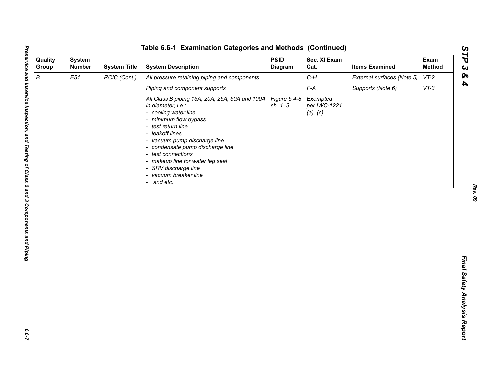| Quality<br>Group | <b>System</b><br><b>Number</b> | <b>System Title</b> | <b>System Description</b>                                                                                                                                                                                                                                                                                                                                                | P&ID<br>Diagram | Sec. XI Exam<br>Cat.                 | <b>Items Examined</b>      | Exam<br><b>Method</b> |
|------------------|--------------------------------|---------------------|--------------------------------------------------------------------------------------------------------------------------------------------------------------------------------------------------------------------------------------------------------------------------------------------------------------------------------------------------------------------------|-----------------|--------------------------------------|----------------------------|-----------------------|
| $\boldsymbol{B}$ | E51                            | RCIC (Cont.)        | All pressure retaining piping and components                                                                                                                                                                                                                                                                                                                             |                 | $C-H$                                | External surfaces (Note 5) | $VT-2$                |
|                  |                                |                     | Piping and component supports                                                                                                                                                                                                                                                                                                                                            |                 | $F-A$                                | Supports (Note 6)          | $VT-3$                |
|                  |                                |                     | All Class B piping 15A, 20A, 25A, 50A and 100A Figure 5.4-8<br>in diameter, i.e.:<br>- cooling water line<br>- minimum flow bypass<br>- test return line<br>- leakoff lines<br>- vacuum pump discharge line<br>- condensate pump discharge line<br>- test connections<br>- makeup line for water leg seal<br>- SRV discharge line<br>- vacuum breaker line<br>- and etc. | $sh. 1 - 3$     | Exempted<br>per IWC-1221<br>(a), (c) |                            |                       |
|                  |                                |                     |                                                                                                                                                                                                                                                                                                                                                                          |                 |                                      |                            |                       |

 $6.6 - 7$ 

*Rev. 09*